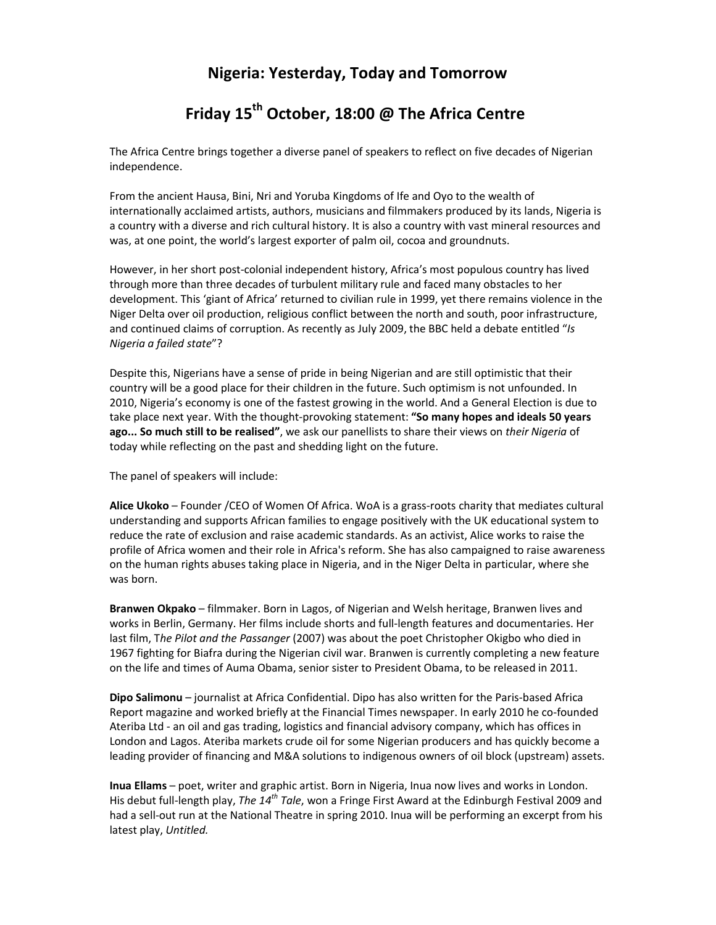# **Nigeria: Yesterday, Today and Tomorrow**

# **Friday 15th October, 18:00 @ The Africa Centre**

The Africa Centre brings together a diverse panel of speakers to reflect on five decades of Nigerian independence.

From the ancient Hausa, Bini, Nri and Yoruba Kingdoms of Ife and Oyo to the wealth of internationally acclaimed artists, authors, musicians and filmmakers produced by its lands, Nigeria is a country with a diverse and rich cultural history. It is also a country with vast mineral resources and was, at one point, the world's largest exporter of palm oil, cocoa and groundnuts.

However, in her short post-colonial independent history, Africa's most populous country has lived through more than three decades of turbulent military rule and faced many obstacles to her development. This 'giant of Africa' returned to civilian rule in 1999, yet there remains violence in the Niger Delta over oil production, religious conflict between the north and south, poor infrastructure, and continued claims of corruption. As recently as July 2009, the BBC held a debate entitled "*Is Nigeria a failed state*"?

Despite this, Nigerians have a sense of pride in being Nigerian and are still optimistic that their country will be a good place for their children in the future. Such optimism is not unfounded. In 2010, Nigeria's economy is one of the fastest growing in the world. And a General Election is due to take place next year. With the thought-provoking statement: **"So many hopes and ideals 50 years ago... So much still to be realised"**, we ask our panellists to share their views on *their Nigeria* of today while reflecting on the past and shedding light on the future.

The panel of speakers will include:

**Alice Ukoko** – Founder /CEO of Women Of Africa. WoA is a grass-roots charity that mediates cultural understanding and supports African families to engage positively with the UK educational system to reduce the rate of exclusion and raise academic standards. As an activist, Alice works to raise the profile of Africa women and their role in Africa's reform. She has also campaigned to raise awareness on the human rights abuses taking place in Nigeria, and in the Niger Delta in particular, where she was born.

**Branwen Okpako** – filmmaker. Born in Lagos, of Nigerian and Welsh heritage, Branwen lives and works in Berlin, Germany. Her films include shorts and full-length features and documentaries. Her last film, T*he Pilot and the Passanger* (2007) was about the poet Christopher Okigbo who died in 1967 fighting for Biafra during the Nigerian civil war. Branwen is currently completing a new feature on the life and times of Auma Obama, senior sister to President Obama, to be released in 2011.

**Dipo Salimonu** – journalist at Africa Confidential. Dipo has also written for the Paris-based Africa Report magazine and worked briefly at the Financial Times newspaper. In early 2010 he co-founded Ateriba Ltd - an oil and gas trading, logistics and financial advisory company, which has offices in London and Lagos. Ateriba markets crude oil for some Nigerian producers and has quickly become a leading provider of financing and M&A solutions to indigenous owners of oil block (upstream) assets.

**Inua Ellams** – poet, writer and graphic artist. Born in Nigeria, Inua now lives and works in London. His debut full-length play, *The 14th Tale*, won a Fringe First Award at the Edinburgh Festival 2009 and had a sell-out run at the National Theatre in spring 2010. Inua will be performing an excerpt from his latest play, *Untitled.*